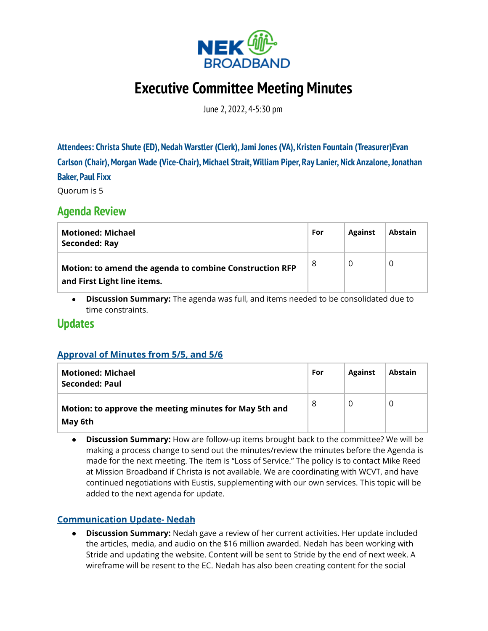

# **Executive Committee Meeting Minutes**

June 2, 2022, 4-5:30 pm

**Attendees: Christa Shute (ED), Nedah Warstler (Clerk),Jami Jones (VA), Kristen Fountain (Treasurer)Evan Carlson (Chair),Morgan Wade (Vice-Chair),Michael Strait,William Piper, Ray Lanier, Nick Anzalone,Jonathan Baker, Paul Fixx**

Quorum is 5

# **Agenda Review**

| <b>Motioned: Michael</b><br><b>Seconded: Ray</b>                                       | For | <b>Against</b> | <b>Abstain</b> |
|----------------------------------------------------------------------------------------|-----|----------------|----------------|
| Motion: to amend the agenda to combine Construction RFP<br>and First Light line items. | 8   | 0              |                |

**● Discussion Summary:** The agenda was full, and items needed to be consolidated due to time constraints.

### **Updates**

#### **Approval of Minutes from [5/5,](https://docs.google.com/document/d/1OEaeWZK5HVJECWpcdc_v7hnJw5KYn-WfcB7kCwv9i7Q/edit?usp=sharing) and 5/6**

| <b>Motioned: Michael</b><br><b>Seconded: Paul</b>                 | For | <b>Against</b> | <b>Abstain</b> |
|-------------------------------------------------------------------|-----|----------------|----------------|
| Motion: to approve the meeting minutes for May 5th and<br>May 6th | 8   | O              |                |

**● Discussion Summary:** How are follow-up items brought back to the committee? We will be making a process change to send out the minutes/review the minutes before the Agenda is made for the next meeting. The item is "Loss of Service." The policy is to contact Mike Reed at Mission Broadband if Christa is not available. We are coordinating with WCVT, and have continued negotiations with Eustis, supplementing with our own services. This topic will be added to the next agenda for update.

#### **Communication Update- Nedah**

**● Discussion Summary:** Nedah gave a review of her current activities. Her update included the articles, media, and audio on the \$16 million awarded. Nedah has been working with Stride and updating the website. Content will be sent to Stride by the end of next week. A wireframe will be resent to the EC. Nedah has also been creating content for the social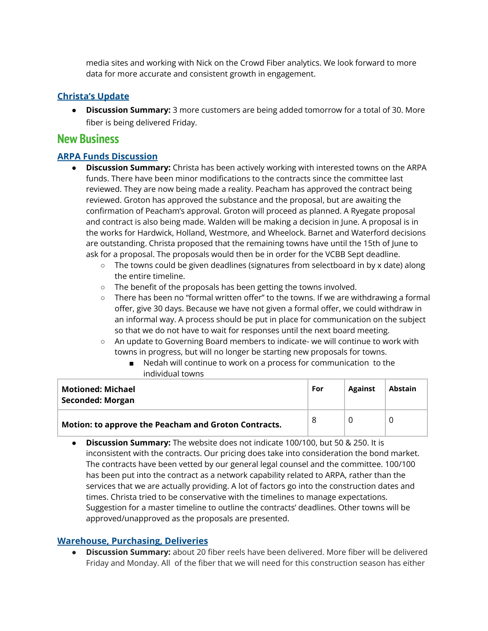media sites and working with Nick on the Crowd Fiber analytics. We look forward to more data for more accurate and consistent growth in engagement.

#### **Christa's Update**

● **Discussion Summary:** 3 more customers are being added tomorrow for a total of 30. More fiber is being delivered Friday.

## **New Business**

#### **ARPA Funds Discussion**

- **● Discussion Summary:** Christa has been actively working with interested towns on the ARPA funds. There have been minor modifications to the contracts since the committee last reviewed. They are now being made a reality. Peacham has approved the contract being reviewed. Groton has approved the substance and the proposal, but are awaiting the confirmation of Peacham's approval. Groton will proceed as planned. A Ryegate proposal and contract is also being made. Walden will be making a decision in June. A proposal is in the works for Hardwick, Holland, Westmore, and Wheelock. Barnet and Waterford decisions are outstanding. Christa proposed that the remaining towns have until the 15th of June to ask for a proposal. The proposals would then be in order for the VCBB Sept deadline.
	- **○** The towns could be given deadlines (signatures from selectboard in by x date) along the entire timeline.
	- The benefit of the proposals has been getting the towns involved.
	- There has been no "formal written offer" to the towns. If we are withdrawing a formal offer, give 30 days. Because we have not given a formal offer, we could withdraw in an informal way. A process should be put in place for communication on the subject so that we do not have to wait for responses until the next board meeting.
	- An update to Governing Board members to indicate- we will continue to work with towns in progress, but will no longer be starting new proposals for towns.
		- Nedah will continue to work on a process for communication to the individual towns

| Motioned: Michael<br><b>Seconded: Morgan</b>         | For | <b>Against</b> | <b>Abstain</b> |
|------------------------------------------------------|-----|----------------|----------------|
| Motion: to approve the Peacham and Groton Contracts. | 8   |                |                |

**● Discussion Summary:** The website does not indicate 100/100, but 50 & 250. It is inconsistent with the contracts. Our pricing does take into consideration the bond market. The contracts have been vetted by our general legal counsel and the committee. 100/100 has been put into the contract as a network capability related to ARPA, rather than the services that we are actually providing. A lot of factors go into the construction dates and times. Christa tried to be conservative with the timelines to manage expectations. Suggestion for a master timeline to outline the contracts' deadlines. Other towns will be approved/unapproved as the proposals are presented.

#### **[Warehouse,](https://drive.google.com/file/d/10wNOWak3lXer-L_wFJRB-1W2W40HvewA/view?usp=sharing) Purchasing, D[eliveries](https://photos.google.com/share/AF1QipOXwbCLoTes0Wx2y4ydcfQWaKgro0RuEUewRd754dqv9jHPMV0jDBDTnW9jPmrIOg?key=bFhOdGktZDJXTGI0a1lsS1BYYzVvY1dFeTcyU3pB)**

**● Discussion Summary:** about 20 fiber reels have been delivered. More fiber will be delivered Friday and Monday. All of the fiber that we will need for this construction season has either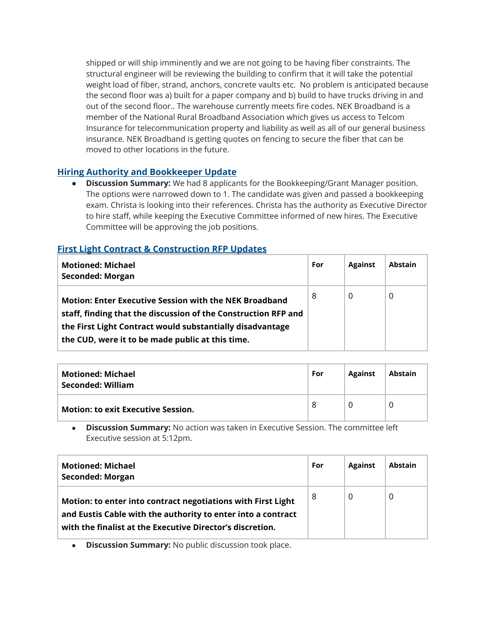shipped or will ship imminently and we are not going to be having fiber constraints. The structural engineer will be reviewing the building to confirm that it will take the potential weight load of fiber, strand, anchors, concrete vaults etc. No problem is anticipated because the second floor was a) built for a paper company and b) build to have trucks driving in and out of the second floor.. The warehouse currently meets fire codes. NEK Broadband is a member of the National Rural Broadband Association which gives us access to Telcom Insurance for telecommunication property and liability as well as all of our general business insurance. NEK Broadband is getting quotes on fencing to secure the fiber that can be moved to other locations in the future.

#### **Hiring Authority and [Bookkeeper](https://docs.google.com/document/d/1I5DUkMr2_lTjoAoSRWrChFpzNZ-eOqryIkYVursfBN8/edit?usp=sharing) Update**

● **Discussion Summary:** We had 8 applicants for the Bookkeeping/Grant Manager position. The options were narrowed down to 1. The candidate was given and passed a bookkeeping exam. Christa is looking into their references. Christa has the authority as Executive Director to hire staff, while keeping the Executive Committee informed of new hires. The Executive Committee will be approving the job positions.

#### **First Light [Contract](https://docs.google.com/document/d/1QXevJgsxovHuPQVBr9onV654DDzfubP8/edit?usp=sharing&ouid=100350304584173846537&rtpof=true&sd=true) & [Construction](https://drive.google.com/drive/folders/1NDORKZkBwWW4a5-nHh_vpFdhRtqoRlOG?usp=sharing) RFP Updates**

| <b>Motioned: Michael</b><br><b>Seconded: Morgan</b>                                                                                                                                                                                              | For | <b>Against</b> | <b>Abstain</b> |
|--------------------------------------------------------------------------------------------------------------------------------------------------------------------------------------------------------------------------------------------------|-----|----------------|----------------|
| <b>Motion: Enter Executive Session with the NEK Broadband</b><br>staff, finding that the discussion of the Construction RFP and<br>the First Light Contract would substantially disadvantage<br>the CUD, were it to be made public at this time. | 8   | 0              | 0              |

| Motioned: Michael<br>Seconded: William    | For | <b>Against</b> | Abstain |
|-------------------------------------------|-----|----------------|---------|
| <b>Motion: to exit Executive Session.</b> | 8   |                |         |

**● Discussion Summary:** No action was taken in Executive Session. The committee left Executive session at 5:12pm.

| <b>Motioned: Michael</b><br><b>Seconded: Morgan</b>                                                                                                                                       | For | <b>Against</b> | Abstain |
|-------------------------------------------------------------------------------------------------------------------------------------------------------------------------------------------|-----|----------------|---------|
| Motion: to enter into contract negotiations with First Light<br>and Eustis Cable with the authority to enter into a contract<br>with the finalist at the Executive Director's discretion. | -8  | 0              | 0       |

**● Discussion Summary:** No public discussion took place.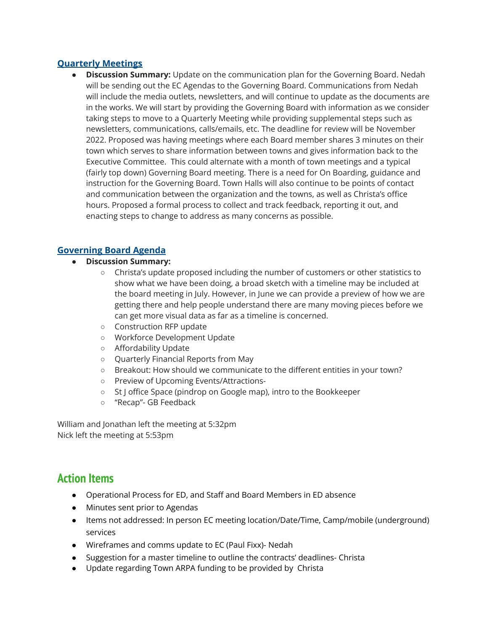#### **Quarterly Meetings**

**● Discussion Summary:** Update on the communication plan for the Governing Board. Nedah will be sending out the EC Agendas to the Governing Board. Communications from Nedah will include the media outlets, newsletters, and will continue to update as the documents are in the works. We will start by providing the Governing Board with information as we consider taking steps to move to a Quarterly Meeting while providing supplemental steps such as newsletters, communications, calls/emails, etc. The deadline for review will be November 2022. Proposed was having meetings where each Board member shares 3 minutes on their town which serves to share information between towns and gives information back to the Executive Committee. This could alternate with a month of town meetings and a typical (fairly top down) Governing Board meeting. There is a need for On Boarding, guidance and instruction for the Governing Board. Town Halls will also continue to be points of contact and communication between the organization and the towns, as well as Christa's office hours. Proposed a formal process to collect and track feedback, reporting it out, and enacting steps to change to address as many concerns as possible.

#### **Governing Board Agenda**

- **● Discussion Summary:**
	- **○** Christa's update proposed including the number of customers or other statistics to show what we have been doing, a broad sketch with a timeline may be included at the board meeting in July. However, in June we can provide a preview of how we are getting there and help people understand there are many moving pieces before we can get more visual data as far as a timeline is concerned.
	- Construction RFP update
	- Workforce Development Update
	- Affordability Update
	- Quarterly Financial Reports from May
	- Breakout: How should we communicate to the different entities in your town?
	- Preview of Upcoming Events/Attractions-
	- St J office Space (pindrop on Google map), intro to the Bookkeeper
	- "Recap"- GB Feedback

William and Jonathan left the meeting at 5:32pm Nick left the meeting at 5:53pm

# **Action Items**

- Operational Process for ED, and Staff and Board Members in ED absence
- Minutes sent prior to Agendas
- Items not addressed: In person EC meeting location/Date/Time, Camp/mobile (underground) services
- Wireframes and comms update to EC (Paul Fixx)- Nedah
- Suggestion for a master timeline to outline the contracts' deadlines- Christa
- Update regarding Town ARPA funding to be provided by Christa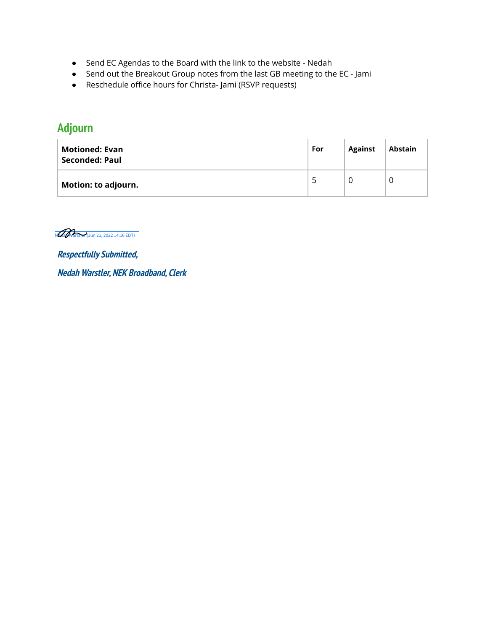- Send EC Agendas to the Board with the link to the website Nedah
- Send out the Breakout Group notes from the last GB meeting to the EC Jami
- Reschedule office hours for Christa- Jami (RSVP requests)

# **Adjourn**

| Motioned: Evan<br>Seconded: Paul | For | <b>Against</b> | Abstain |
|----------------------------------|-----|----------------|---------|
| <b>Motion: to adjourn.</b>       | -5  |                |         |

Neder (Jun 21, 2022 14:16 EDT)

**Respectfully Submitted, Nedah Warstler, NEK Broadband, Clerk**